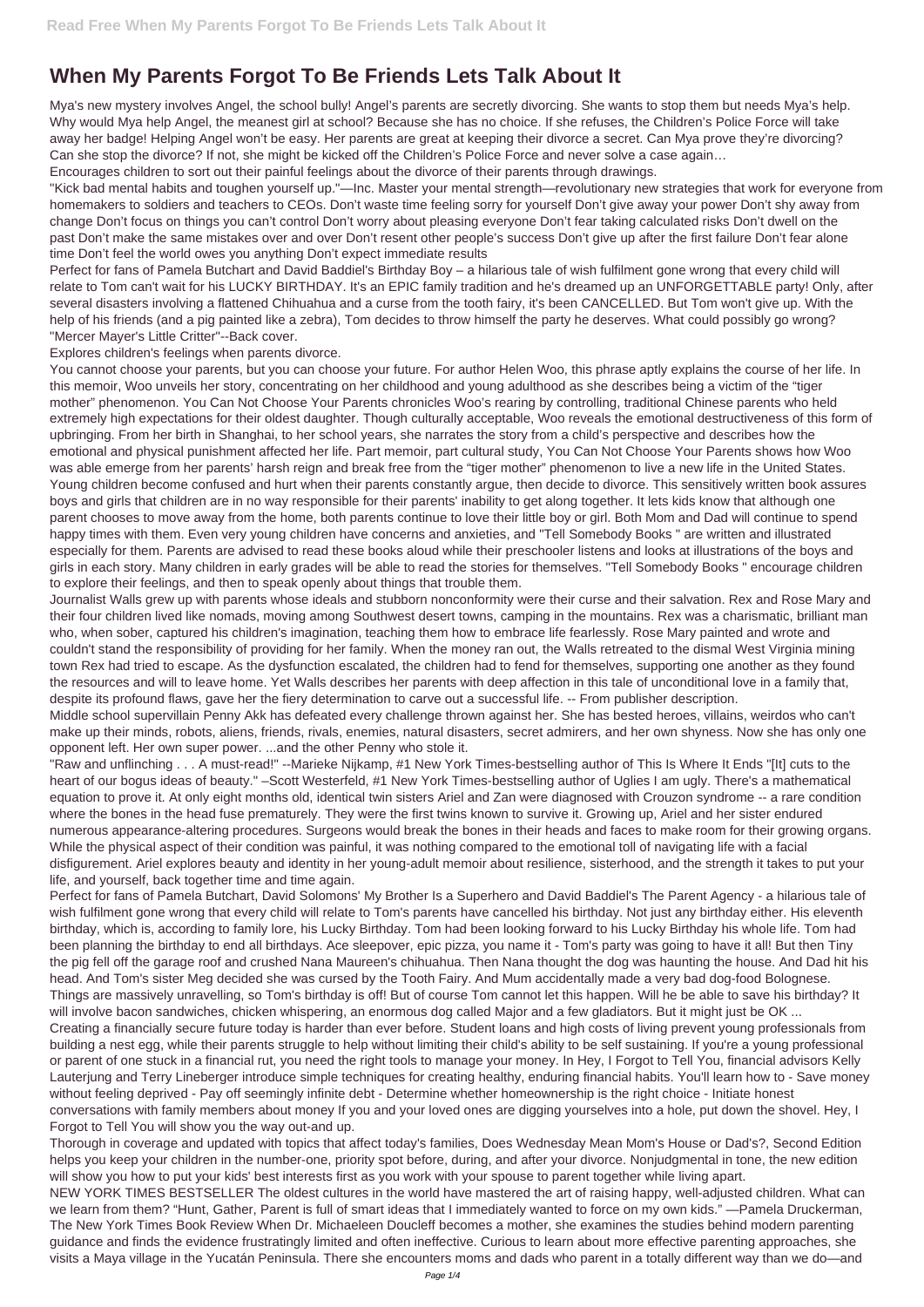## **When My Parents Forgot To Be Friends Lets Talk About It**

Mya's new mystery involves Angel, the school bully! Angel's parents are secretly divorcing. She wants to stop them but needs Mya's help. Why would Mya help Angel, the meanest girl at school? Because she has no choice. If she refuses, the Children's Police Force will take away her badge! Helping Angel won't be easy. Her parents are great at keeping their divorce a secret. Can Mya prove they're divorcing? Can she stop the divorce? If not, she might be kicked off the Children's Police Force and never solve a case again…

Encourages children to sort out their painful feelings about the divorce of their parents through drawings.

"Kick bad mental habits and toughen yourself up."—Inc. Master your mental strength—revolutionary new strategies that work for everyone from homemakers to soldiers and teachers to CEOs. Don't waste time feeling sorry for yourself Don't give away your power Don't shy away from change Don't focus on things you can't control Don't worry about pleasing everyone Don't fear taking calculated risks Don't dwell on the past Don't make the same mistakes over and over Don't resent other people's success Don't give up after the first failure Don't fear alone time Don't feel the world owes you anything Don't expect immediate results

Perfect for fans of Pamela Butchart and David Baddiel's Birthday Boy – a hilarious tale of wish fulfilment gone wrong that every child will relate to Tom can't wait for his LUCKY BIRTHDAY. It's an EPIC family tradition and he's dreamed up an UNFORGETTABLE party! Only, after several disasters involving a flattened Chihuahua and a curse from the tooth fairy, it's been CANCELLED. But Tom won't give up. With the help of his friends (and a pig painted like a zebra), Tom decides to throw himself the party he deserves. What could possibly go wrong? "Mercer Mayer's Little Critter"--Back cover.

Explores children's feelings when parents divorce.

You cannot choose your parents, but you can choose your future. For author Helen Woo, this phrase aptly explains the course of her life. In this memoir, Woo unveils her story, concentrating on her childhood and young adulthood as she describes being a victim of the "tiger mother" phenomenon. You Can Not Choose Your Parents chronicles Woo's rearing by controlling, traditional Chinese parents who held extremely high expectations for their oldest daughter. Though culturally acceptable, Woo reveals the emotional destructiveness of this form of upbringing. From her birth in Shanghai, to her school years, she narrates the story from a child's perspective and describes how the emotional and physical punishment affected her life. Part memoir, part cultural study, You Can Not Choose Your Parents shows how Woo was able emerge from her parents' harsh reign and break free from the "tiger mother" phenomenon to live a new life in the United States. Young children become confused and hurt when their parents constantly argue, then decide to divorce. This sensitively written book assures boys and girls that children are in no way responsible for their parents' inability to get along together. It lets kids know that although one parent chooses to move away from the home, both parents continue to love their little boy or girl. Both Mom and Dad will continue to spend happy times with them. Even very young children have concerns and anxieties, and "Tell Somebody Books " are written and illustrated especially for them. Parents are advised to read these books aloud while their preschooler listens and looks at illustrations of the boys and girls in each story. Many children in early grades will be able to read the stories for themselves. "Tell Somebody Books " encourage children to explore their feelings, and then to speak openly about things that trouble them.

Things are massively unravelling, so Tom's birthday is off! But of course Tom cannot let this happen. Will he be able to save his birthday? It will involve bacon sandwiches, chicken whispering, an enormous dog called Major and a few gladiators. But it might just be OK ...

Journalist Walls grew up with parents whose ideals and stubborn nonconformity were their curse and their salvation. Rex and Rose Mary and their four children lived like nomads, moving among Southwest desert towns, camping in the mountains. Rex was a charismatic, brilliant man who, when sober, captured his children's imagination, teaching them how to embrace life fearlessly. Rose Mary painted and wrote and couldn't stand the responsibility of providing for her family. When the money ran out, the Walls retreated to the dismal West Virginia mining town Rex had tried to escape. As the dysfunction escalated, the children had to fend for themselves, supporting one another as they found the resources and will to leave home. Yet Walls describes her parents with deep affection in this tale of unconditional love in a family that, despite its profound flaws, gave her the fiery determination to carve out a successful life. -- From publisher description.

Middle school supervillain Penny Akk has defeated every challenge thrown against her. She has bested heroes, villains, weirdos who can't make up their minds, robots, aliens, friends, rivals, enemies, natural disasters, secret admirers, and her own shyness. Now she has only one opponent left. Her own super power. ...and the other Penny who stole it.

"Raw and unflinching . . . A must-read!" --Marieke Nijkamp, #1 New York Times-bestselling author of This Is Where It Ends "[It] cuts to the heart of our bogus ideas of beauty." –Scott Westerfeld, #1 New York Times-bestselling author of Uglies I am ugly. There's a mathematical equation to prove it. At only eight months old, identical twin sisters Ariel and Zan were diagnosed with Crouzon syndrome -- a rare condition where the bones in the head fuse prematurely. They were the first twins known to survive it. Growing up, Ariel and her sister endured numerous appearance-altering procedures. Surgeons would break the bones in their heads and faces to make room for their growing organs. While the physical aspect of their condition was painful, it was nothing compared to the emotional toll of navigating life with a facial disfigurement. Ariel explores beauty and identity in her young-adult memoir about resilience, sisterhood, and the strength it takes to put your life, and yourself, back together time and time again.

Perfect for fans of Pamela Butchart, David Solomons' My Brother Is a Superhero and David Baddiel's The Parent Agency - a hilarious tale of wish fulfilment gone wrong that every child will relate to Tom's parents have cancelled his birthday. Not just any birthday either. His eleventh birthday, which is, according to family lore, his Lucky Birthday. Tom had been looking forward to his Lucky Birthday his whole life. Tom had been planning the birthday to end all birthdays. Ace sleepover, epic pizza, you name it - Tom's party was going to have it all! But then Tiny the pig fell off the garage roof and crushed Nana Maureen's chihuahua. Then Nana thought the dog was haunting the house. And Dad hit his head. And Tom's sister Meg decided she was cursed by the Tooth Fairy. And Mum accidentally made a very bad dog-food Bolognese.

Creating a financially secure future today is harder than ever before. Student loans and high costs of living prevent young professionals from building a nest egg, while their parents struggle to help without limiting their child's ability to be self sustaining. If you're a young professional or parent of one stuck in a financial rut, you need the right tools to manage your money. In Hey, I Forgot to Tell You, financial advisors Kelly Lauterjung and Terry Lineberger introduce simple techniques for creating healthy, enduring financial habits. You'll learn how to - Save money without feeling deprived - Pay off seemingly infinite debt - Determine whether homeownership is the right choice - Initiate honest conversations with family members about money If you and your loved ones are digging yourselves into a hole, put down the shovel. Hey, I Forgot to Tell You will show you the way out-and up.

Thorough in coverage and updated with topics that affect today's families, Does Wednesday Mean Mom's House or Dad's?, Second Edition helps you keep your children in the number-one, priority spot before, during, and after your divorce. Nonjudgmental in tone, the new edition will show you how to put your kids' best interests first as you work with your spouse to parent together while living apart.

NEW YORK TIMES BESTSELLER The oldest cultures in the world have mastered the art of raising happy, well-adjusted children. What can we learn from them? "Hunt, Gather, Parent is full of smart ideas that I immediately wanted to force on my own kids." —Pamela Druckerman, The New York Times Book Review When Dr. Michaeleen Doucleff becomes a mother, she examines the studies behind modern parenting guidance and finds the evidence frustratingly limited and often ineffective. Curious to learn about more effective parenting approaches, she visits a Maya village in the Yucatán Peninsula. There she encounters moms and dads who parent in a totally different way than we do—and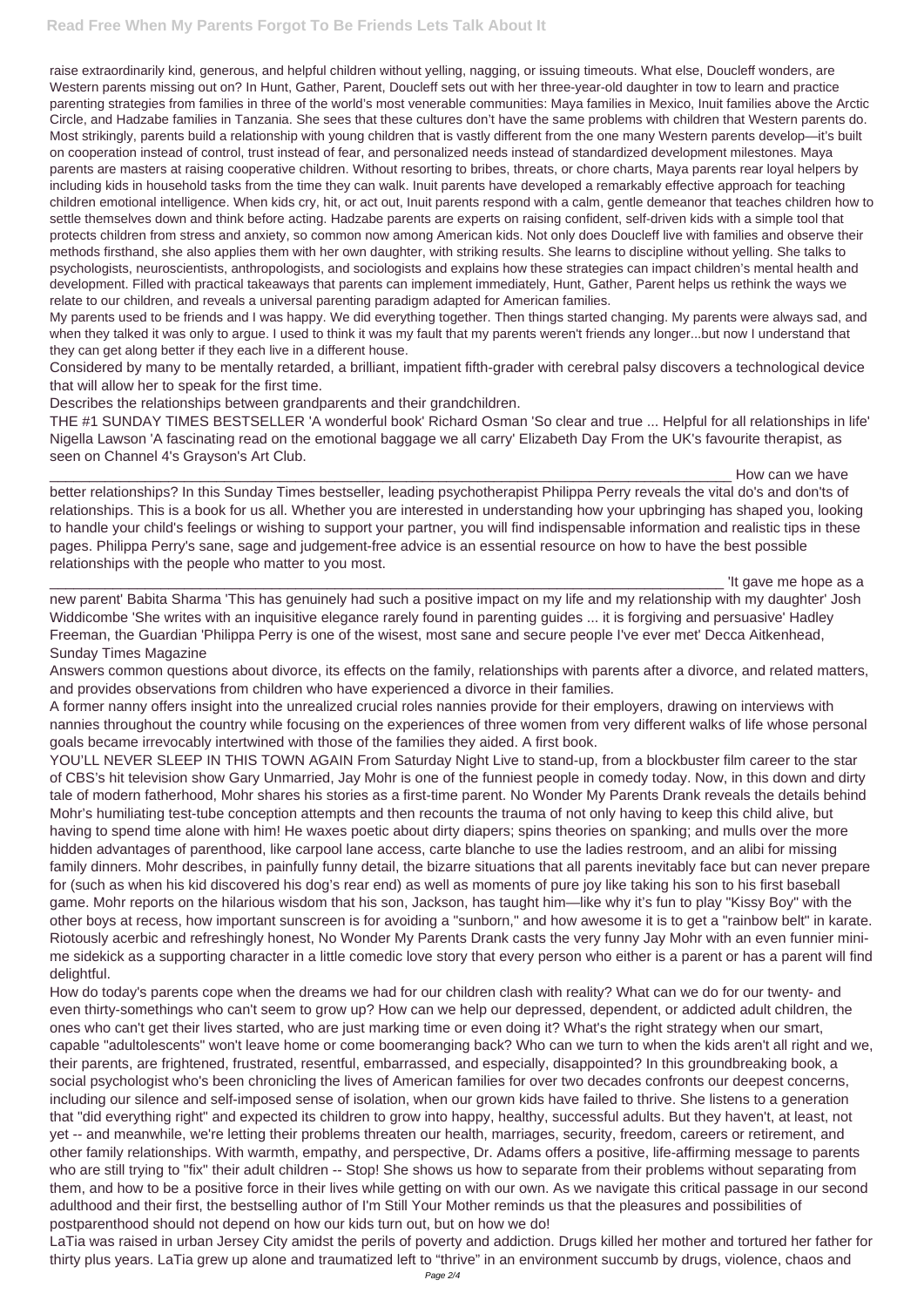## **Read Free When My Parents Forgot To Be Friends Lets Talk About It**

raise extraordinarily kind, generous, and helpful children without yelling, nagging, or issuing timeouts. What else, Doucleff wonders, are Western parents missing out on? In Hunt, Gather, Parent, Doucleff sets out with her three-year-old daughter in tow to learn and practice parenting strategies from families in three of the world's most venerable communities: Maya families in Mexico, Inuit families above the Arctic Circle, and Hadzabe families in Tanzania. She sees that these cultures don't have the same problems with children that Western parents do. Most strikingly, parents build a relationship with young children that is vastly different from the one many Western parents develop—it's built on cooperation instead of control, trust instead of fear, and personalized needs instead of standardized development milestones. Maya parents are masters at raising cooperative children. Without resorting to bribes, threats, or chore charts, Maya parents rear loyal helpers by including kids in household tasks from the time they can walk. Inuit parents have developed a remarkably effective approach for teaching children emotional intelligence. When kids cry, hit, or act out, Inuit parents respond with a calm, gentle demeanor that teaches children how to settle themselves down and think before acting. Hadzabe parents are experts on raising confident, self-driven kids with a simple tool that protects children from stress and anxiety, so common now among American kids. Not only does Doucleff live with families and observe their methods firsthand, she also applies them with her own daughter, with striking results. She learns to discipline without yelling. She talks to psychologists, neuroscientists, anthropologists, and sociologists and explains how these strategies can impact children's mental health and development. Filled with practical takeaways that parents can implement immediately, Hunt, Gather, Parent helps us rethink the ways we relate to our children, and reveals a universal parenting paradigm adapted for American families.

How can we have better relationships? In this Sunday Times bestseller, leading psychotherapist Philippa Perry reveals the vital do's and don'ts of relationships. This is a book for us all. Whether you are interested in understanding how your upbringing has shaped you, looking to handle your child's feelings or wishing to support your partner, you will find indispensable information and realistic tips in these pages. Philippa Perry's sane, sage and judgement-free advice is an essential resource on how to have the best possible relationships with the people who matter to you most.

It gave me hope as a

My parents used to be friends and I was happy. We did everything together. Then things started changing. My parents were always sad, and when they talked it was only to argue. I used to think it was my fault that my parents weren't friends any longer...but now I understand that they can get along better if they each live in a different house.

Considered by many to be mentally retarded, a brilliant, impatient fifth-grader with cerebral palsy discovers a technological device that will allow her to speak for the first time.

Describes the relationships between grandparents and their grandchildren.

THE #1 SUNDAY TIMES BESTSELLER 'A wonderful book' Richard Osman 'So clear and true ... Helpful for all relationships in life' Nigella Lawson 'A fascinating read on the emotional baggage we all carry' Elizabeth Day From the UK's favourite therapist, as seen on Channel 4's Grayson's Art Club.

new parent' Babita Sharma 'This has genuinely had such a positive impact on my life and my relationship with my daughter' Josh Widdicombe 'She writes with an inquisitive elegance rarely found in parenting guides ... it is forgiving and persuasive' Hadley Freeman, the Guardian 'Philippa Perry is one of the wisest, most sane and secure people I've ever met' Decca Aitkenhead, Sunday Times Magazine

Answers common questions about divorce, its effects on the family, relationships with parents after a divorce, and related matters, and provides observations from children who have experienced a divorce in their families.

A former nanny offers insight into the unrealized crucial roles nannies provide for their employers, drawing on interviews with nannies throughout the country while focusing on the experiences of three women from very different walks of life whose personal goals became irrevocably intertwined with those of the families they aided. A first book.

YOU'LL NEVER SLEEP IN THIS TOWN AGAIN From Saturday Night Live to stand-up, from a blockbuster film career to the star of CBS's hit television show Gary Unmarried, Jay Mohr is one of the funniest people in comedy today. Now, in this down and dirty tale of modern fatherhood, Mohr shares his stories as a first-time parent. No Wonder My Parents Drank reveals the details behind Mohr's humiliating test-tube conception attempts and then recounts the trauma of not only having to keep this child alive, but having to spend time alone with him! He waxes poetic about dirty diapers; spins theories on spanking; and mulls over the more hidden advantages of parenthood, like carpool lane access, carte blanche to use the ladies restroom, and an alibi for missing family dinners. Mohr describes, in painfully funny detail, the bizarre situations that all parents inevitably face but can never prepare for (such as when his kid discovered his dog's rear end) as well as moments of pure joy like taking his son to his first baseball game. Mohr reports on the hilarious wisdom that his son, Jackson, has taught him—like why it's fun to play "Kissy Boy" with the other boys at recess, how important sunscreen is for avoiding a "sunborn," and how awesome it is to get a "rainbow belt" in karate. Riotously acerbic and refreshingly honest, No Wonder My Parents Drank casts the very funny Jay Mohr with an even funnier minime sidekick as a supporting character in a little comedic love story that every person who either is a parent or has a parent will find delightful. How do today's parents cope when the dreams we had for our children clash with reality? What can we do for our twenty- and even thirty-somethings who can't seem to grow up? How can we help our depressed, dependent, or addicted adult children, the ones who can't get their lives started, who are just marking time or even doing it? What's the right strategy when our smart, capable "adultolescents" won't leave home or come boomeranging back? Who can we turn to when the kids aren't all right and we, their parents, are frightened, frustrated, resentful, embarrassed, and especially, disappointed? In this groundbreaking book, a social psychologist who's been chronicling the lives of American families for over two decades confronts our deepest concerns, including our silence and self-imposed sense of isolation, when our grown kids have failed to thrive. She listens to a generation that "did everything right" and expected its children to grow into happy, healthy, successful adults. But they haven't, at least, not yet -- and meanwhile, we're letting their problems threaten our health, marriages, security, freedom, careers or retirement, and other family relationships. With warmth, empathy, and perspective, Dr. Adams offers a positive, life-affirming message to parents who are still trying to "fix" their adult children -- Stop! She shows us how to separate from their problems without separating from them, and how to be a positive force in their lives while getting on with our own. As we navigate this critical passage in our second adulthood and their first, the bestselling author of I'm Still Your Mother reminds us that the pleasures and possibilities of postparenthood should not depend on how our kids turn out, but on how we do! LaTia was raised in urban Jersey City amidst the perils of poverty and addiction. Drugs killed her mother and tortured her father for thirty plus years. LaTia grew up alone and traumatized left to "thrive" in an environment succumb by drugs, violence, chaos and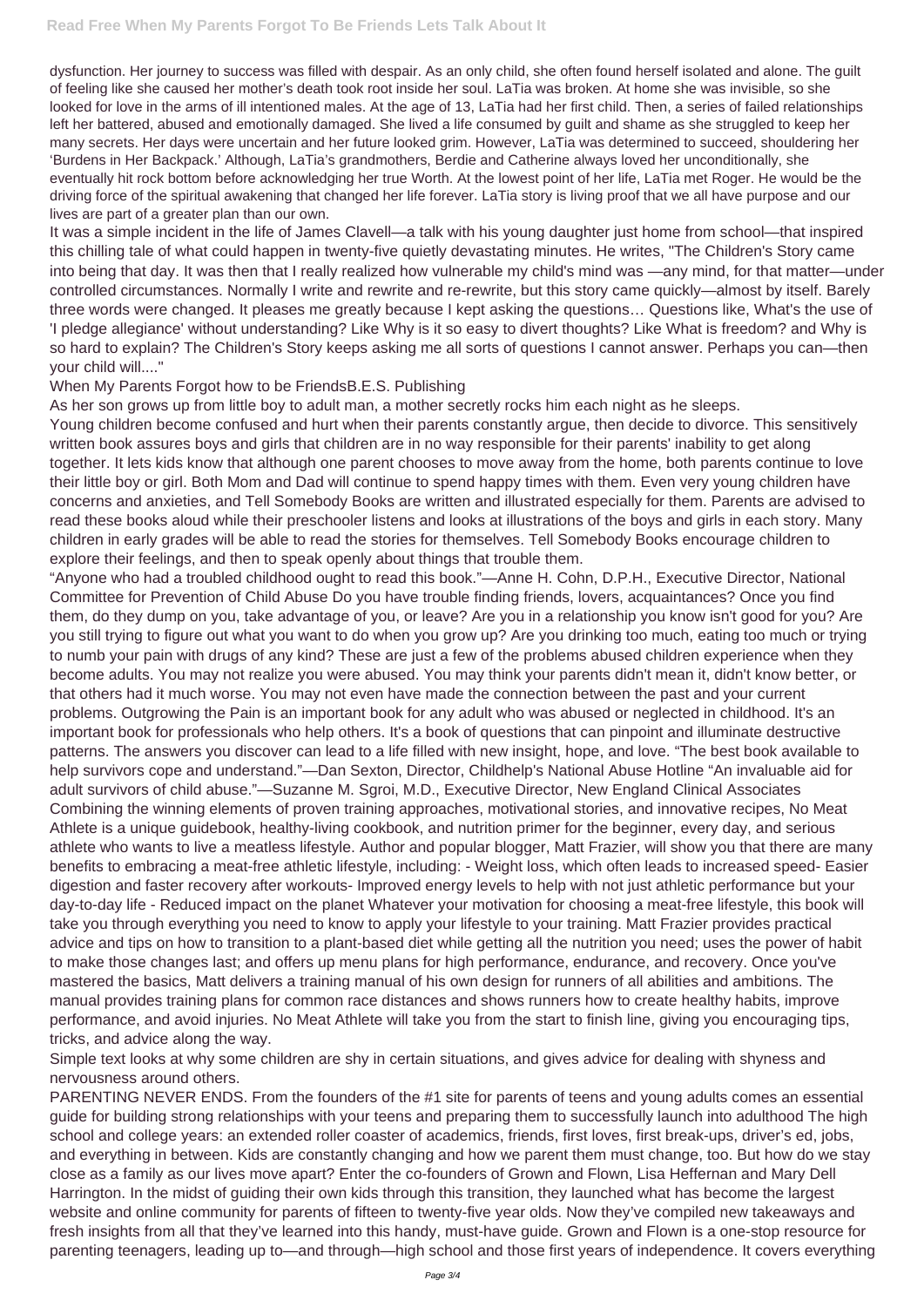dysfunction. Her journey to success was filled with despair. As an only child, she often found herself isolated and alone. The guilt of feeling like she caused her mother's death took root inside her soul. LaTia was broken. At home she was invisible, so she looked for love in the arms of ill intentioned males. At the age of 13, LaTia had her first child. Then, a series of failed relationships left her battered, abused and emotionally damaged. She lived a life consumed by guilt and shame as she struggled to keep her many secrets. Her days were uncertain and her future looked grim. However, LaTia was determined to succeed, shouldering her 'Burdens in Her Backpack.' Although, LaTia's grandmothers, Berdie and Catherine always loved her unconditionally, she eventually hit rock bottom before acknowledging her true Worth. At the lowest point of her life, LaTia met Roger. He would be the driving force of the spiritual awakening that changed her life forever. LaTia story is living proof that we all have purpose and our lives are part of a greater plan than our own.

It was a simple incident in the life of James Clavell—a talk with his young daughter just home from school—that inspired this chilling tale of what could happen in twenty-five quietly devastating minutes. He writes, "The Children's Story came into being that day. It was then that I really realized how vulnerable my child's mind was —any mind, for that matter—under controlled circumstances. Normally I write and rewrite and re-rewrite, but this story came quickly—almost by itself. Barely three words were changed. It pleases me greatly because I kept asking the questions… Questions like, What's the use of 'I pledge allegiance' without understanding? Like Why is it so easy to divert thoughts? Like What is freedom? and Why is so hard to explain? The Children's Story keeps asking me all sorts of questions I cannot answer. Perhaps you can—then your child will...."

## When My Parents Forgot how to be FriendsB.E.S. Publishing

As her son grows up from little boy to adult man, a mother secretly rocks him each night as he sleeps.

Young children become confused and hurt when their parents constantly argue, then decide to divorce. This sensitively written book assures boys and girls that children are in no way responsible for their parents' inability to get along together. It lets kids know that although one parent chooses to move away from the home, both parents continue to love their little boy or girl. Both Mom and Dad will continue to spend happy times with them. Even very young children have concerns and anxieties, and Tell Somebody Books are written and illustrated especially for them. Parents are advised to read these books aloud while their preschooler listens and looks at illustrations of the boys and girls in each story. Many children in early grades will be able to read the stories for themselves. Tell Somebody Books encourage children to explore their feelings, and then to speak openly about things that trouble them.

"Anyone who had a troubled childhood ought to read this book."—Anne H. Cohn, D.P.H., Executive Director, National Committee for Prevention of Child Abuse Do you have trouble finding friends, lovers, acquaintances? Once you find them, do they dump on you, take advantage of you, or leave? Are you in a relationship you know isn't good for you? Are you still trying to figure out what you want to do when you grow up? Are you drinking too much, eating too much or trying to numb your pain with drugs of any kind? These are just a few of the problems abused children experience when they become adults. You may not realize you were abused. You may think your parents didn't mean it, didn't know better, or that others had it much worse. You may not even have made the connection between the past and your current problems. Outgrowing the Pain is an important book for any adult who was abused or neglected in childhood. It's an important book for professionals who help others. It's a book of questions that can pinpoint and illuminate destructive patterns. The answers you discover can lead to a life filled with new insight, hope, and love. "The best book available to help survivors cope and understand."—Dan Sexton, Director, Childhelp's National Abuse Hotline "An invaluable aid for adult survivors of child abuse."—Suzanne M. Sgroi, M.D., Executive Director, New England Clinical Associates Combining the winning elements of proven training approaches, motivational stories, and innovative recipes, No Meat Athlete is a unique guidebook, healthy-living cookbook, and nutrition primer for the beginner, every day, and serious athlete who wants to live a meatless lifestyle. Author and popular blogger, Matt Frazier, will show you that there are many benefits to embracing a meat-free athletic lifestyle, including: - Weight loss, which often leads to increased speed- Easier digestion and faster recovery after workouts- Improved energy levels to help with not just athletic performance but your day-to-day life - Reduced impact on the planet Whatever your motivation for choosing a meat-free lifestyle, this book will take you through everything you need to know to apply your lifestyle to your training. Matt Frazier provides practical advice and tips on how to transition to a plant-based diet while getting all the nutrition you need; uses the power of habit to make those changes last; and offers up menu plans for high performance, endurance, and recovery. Once you've mastered the basics, Matt delivers a training manual of his own design for runners of all abilities and ambitions. The

manual provides training plans for common race distances and shows runners how to create healthy habits, improve performance, and avoid injuries. No Meat Athlete will take you from the start to finish line, giving you encouraging tips, tricks, and advice along the way.

Simple text looks at why some children are shy in certain situations, and gives advice for dealing with shyness and nervousness around others.

PARENTING NEVER ENDS. From the founders of the #1 site for parents of teens and young adults comes an essential guide for building strong relationships with your teens and preparing them to successfully launch into adulthood The high school and college years: an extended roller coaster of academics, friends, first loves, first break-ups, driver's ed, jobs, and everything in between. Kids are constantly changing and how we parent them must change, too. But how do we stay close as a family as our lives move apart? Enter the co-founders of Grown and Flown, Lisa Heffernan and Mary Dell Harrington. In the midst of guiding their own kids through this transition, they launched what has become the largest website and online community for parents of fifteen to twenty-five year olds. Now they've compiled new takeaways and fresh insights from all that they've learned into this handy, must-have guide. Grown and Flown is a one-stop resource for parenting teenagers, leading up to—and through—high school and those first years of independence. It covers everything